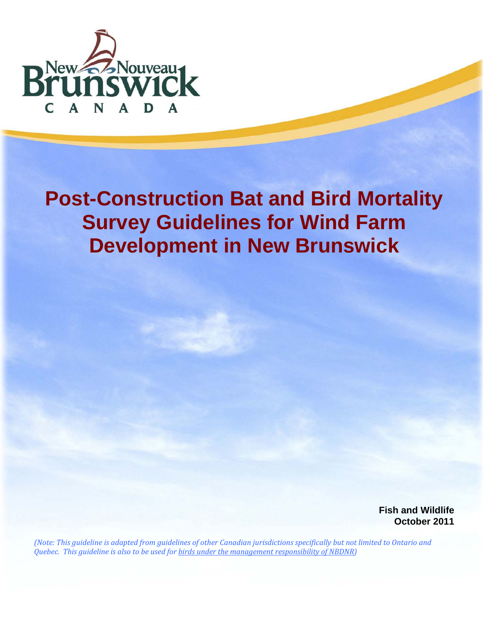

# **Post-Construction Bat and Bird Mortality Survey Guidelines for Wind Farm Development in New Brunswick**

**Fish and Wildlife October 2011** 

(Note: This guideline is adapted from guidelines of other Canadian jurisdictions specifically but not limited to Ontario and *Quebec. This guideline is also to be used for birds under the management responsibility of NBDNR)*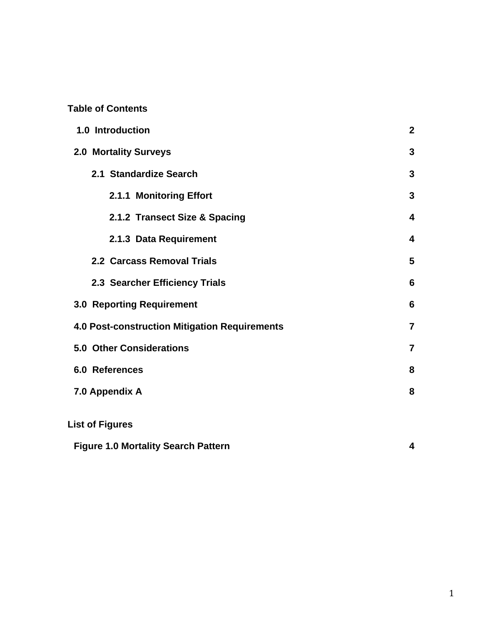# **Table of Contents**

| 1.0 Introduction                                     | $\boldsymbol{2}$        |
|------------------------------------------------------|-------------------------|
| <b>2.0 Mortality Surveys</b>                         | 3                       |
| 2.1 Standardize Search                               | 3                       |
| 2.1.1 Monitoring Effort                              | 3                       |
| 2.1.2 Transect Size & Spacing                        | 4                       |
| 2.1.3 Data Requirement                               | $\overline{\mathbf{4}}$ |
| 2.2 Carcass Removal Trials                           | 5                       |
| 2.3 Searcher Efficiency Trials                       | 6                       |
| <b>3.0 Reporting Requirement</b>                     | 6                       |
| <b>4.0 Post-construction Mitigation Requirements</b> | $\overline{7}$          |
| <b>5.0 Other Considerations</b>                      | $\overline{7}$          |
| 6.0 References                                       | 8                       |
| 7.0 Appendix A                                       | 8                       |
| <b>List of Figures</b>                               |                         |
| <b>Figure 1.0 Mortality Search Pattern</b>           | 4                       |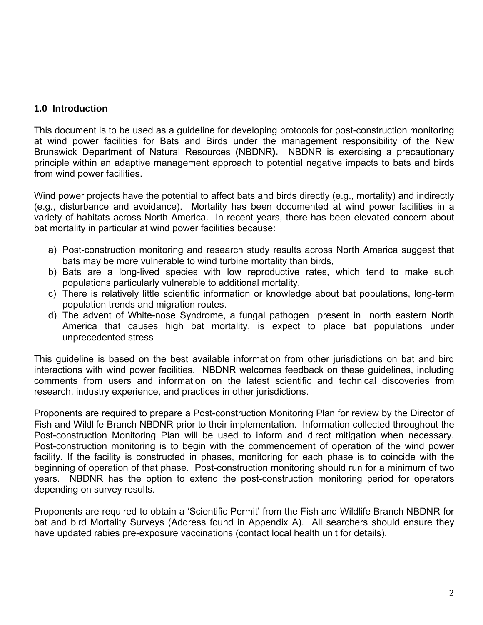## **1.0 Introduction**

This document is to be used as a guideline for developing protocols for post-construction monitoring at wind power facilities for Bats and Birds under the management responsibility of the New Brunswick Department of Natural Resources (NBDNR**).** NBDNR is exercising a precautionary principle within an adaptive management approach to potential negative impacts to bats and birds from wind power facilities.

Wind power projects have the potential to affect bats and birds directly (e.g., mortality) and indirectly (e.g., disturbance and avoidance). Mortality has been documented at wind power facilities in a variety of habitats across North America. In recent years, there has been elevated concern about bat mortality in particular at wind power facilities because:

- a) Post-construction monitoring and research study results across North America suggest that bats may be more vulnerable to wind turbine mortality than birds,
- b) Bats are a long-lived species with low reproductive rates, which tend to make such populations particularly vulnerable to additional mortality,
- c) There is relatively little scientific information or knowledge about bat populations, long-term population trends and migration routes.
- d) The advent of White-nose Syndrome, a fungal pathogen present in north eastern North America that causes high bat mortality, is expect to place bat populations under unprecedented stress

This guideline is based on the best available information from other jurisdictions on bat and bird interactions with wind power facilities. NBDNR welcomes feedback on these guidelines, including comments from users and information on the latest scientific and technical discoveries from research, industry experience, and practices in other jurisdictions.

Proponents are required to prepare a Post-construction Monitoring Plan for review by the Director of Fish and Wildlife Branch NBDNR prior to their implementation. Information collected throughout the Post-construction Monitoring Plan will be used to inform and direct mitigation when necessary. Post-construction monitoring is to begin with the commencement of operation of the wind power facility. If the facility is constructed in phases, monitoring for each phase is to coincide with the beginning of operation of that phase. Post-construction monitoring should run for a minimum of two years. NBDNR has the option to extend the post-construction monitoring period for operators depending on survey results.

Proponents are required to obtain a 'Scientific Permit' from the Fish and Wildlife Branch NBDNR for bat and bird Mortality Surveys (Address found in Appendix A). All searchers should ensure they have updated rabies pre-exposure vaccinations (contact local health unit for details).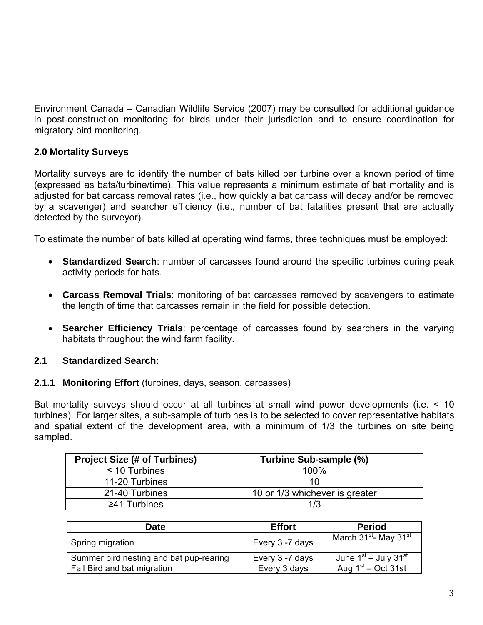Environment Canada – Canadian Wildlife Service (2007) may be consulted for additional guidance in post-construction monitoring for birds under their jurisdiction and to ensure coordination for migratory bird monitoring.

# **2.0 Mortality Surveys**

Mortality surveys are to identify the number of bats killed per turbine over a known period of time (expressed as bats/turbine/time). This value represents a minimum estimate of bat mortality and is adjusted for bat carcass removal rates (i.e., how quickly a bat carcass will decay and/or be removed by a scavenger) and searcher efficiency (i.e., number of bat fatalities present that are actually detected by the surveyor).

To estimate the number of bats killed at operating wind farms, three techniques must be employed:

- **Standardized Search**: number of carcasses found around the specific turbines during peak activity periods for bats.
- **Carcass Removal Trials**: monitoring of bat carcasses removed by scavengers to estimate the length of time that carcasses remain in the field for possible detection.
- **Searcher Efficiency Trials**: percentage of carcasses found by searchers in the varying habitats throughout the wind farm facility.

## **2.1 Standardized Search:**

#### **2.1.1 Monitoring Effort** (turbines, days, season, carcasses)

Bat mortality surveys should occur at all turbines at small wind power developments (i.e. < 10 turbines). For larger sites, a sub-sample of turbines is to be selected to cover representative habitats and spatial extent of the development area, with a minimum of 1/3 the turbines on site being sampled.

| <b>Project Size (# of Turbines)</b> | Turbine Sub-sample (%)         |  |
|-------------------------------------|--------------------------------|--|
| $\leq$ 10 Turbines                  | $100\%$                        |  |
| 11-20 Turbines                      | 10                             |  |
| 21-40 Turbines                      | 10 or 1/3 whichever is greater |  |
| $\geq$ 41 Turbines                  | 1/3                            |  |

| <b>Date</b>                             | <b>Effort</b>   | <b>Period</b>                                 |
|-----------------------------------------|-----------------|-----------------------------------------------|
| Spring migration                        | Every 3-7 days  | March 31 <sup>st</sup> - May 31 <sup>st</sup> |
| Summer bird nesting and bat pup-rearing | Every 3 -7 days | June $1st$ – July 31 <sup>st</sup>            |
| Fall Bird and bat migration             | Every 3 days    | Aug $1st$ – Oct 31st                          |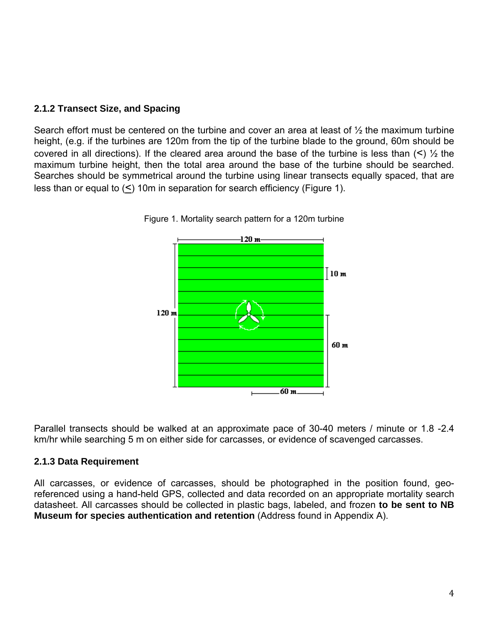## **2.1.2 Transect Size, and Spacing**

Search effort must be centered on the turbine and cover an area at least of  $\frac{1}{2}$  the maximum turbine height, (e.g. if the turbines are 120m from the tip of the turbine blade to the ground, 60m should be covered in all directions). If the cleared area around the base of the turbine is less than  $($ maximum turbine height, then the total area around the base of the turbine should be searched. Searches should be symmetrical around the turbine using linear transects equally spaced, that are less than or equal to (<) 10m in separation for search efficiency (Figure 1).



Figure 1. Mortality search pattern for a 120m turbine

Parallel transects should be walked at an approximate pace of 30-40 meters / minute or 1.8 -2.4 km/hr while searching 5 m on either side for carcasses, or evidence of scavenged carcasses.

#### **2.1.3 Data Requirement**

All carcasses, or evidence of carcasses, should be photographed in the position found, georeferenced using a hand-held GPS, collected and data recorded on an appropriate mortality search datasheet. All carcasses should be collected in plastic bags, labeled, and frozen **to be sent to NB Museum for species authentication and retention** (Address found in Appendix A).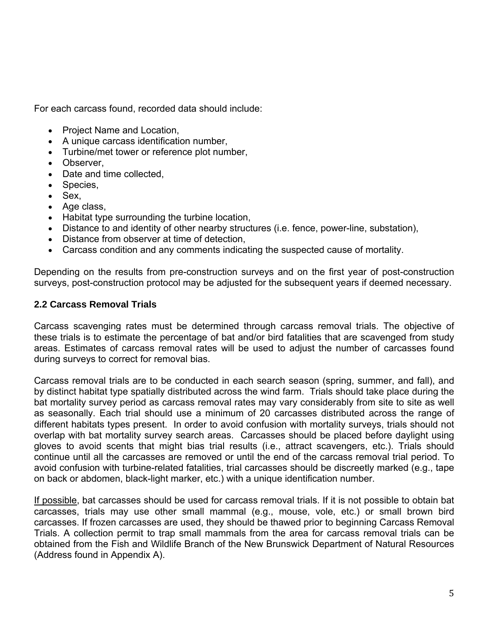For each carcass found, recorded data should include:

- Project Name and Location,
- A unique carcass identification number,
- Turbine/met tower or reference plot number,
- Observer,
- Date and time collected,
- Species,
- Sex,
- Age class,
- Habitat type surrounding the turbine location,
- Distance to and identity of other nearby structures (i.e. fence, power-line, substation),
- Distance from observer at time of detection,
- Carcass condition and any comments indicating the suspected cause of mortality.

Depending on the results from pre-construction surveys and on the first year of post-construction surveys, post-construction protocol may be adjusted for the subsequent years if deemed necessary.

### **2.2 Carcass Removal Trials**

Carcass scavenging rates must be determined through carcass removal trials. The objective of these trials is to estimate the percentage of bat and/or bird fatalities that are scavenged from study areas. Estimates of carcass removal rates will be used to adjust the number of carcasses found during surveys to correct for removal bias.

Carcass removal trials are to be conducted in each search season (spring, summer, and fall), and by distinct habitat type spatially distributed across the wind farm. Trials should take place during the bat mortality survey period as carcass removal rates may vary considerably from site to site as well as seasonally. Each trial should use a minimum of 20 carcasses distributed across the range of different habitats types present. In order to avoid confusion with mortality surveys, trials should not overlap with bat mortality survey search areas. Carcasses should be placed before daylight using gloves to avoid scents that might bias trial results (i.e., attract scavengers, etc.). Trials should continue until all the carcasses are removed or until the end of the carcass removal trial period. To avoid confusion with turbine-related fatalities, trial carcasses should be discreetly marked (e.g., tape on back or abdomen, black-light marker, etc.) with a unique identification number.

If possible, bat carcasses should be used for carcass removal trials. If it is not possible to obtain bat carcasses, trials may use other small mammal (e.g., mouse, vole, etc.) or small brown bird carcasses. If frozen carcasses are used, they should be thawed prior to beginning Carcass Removal Trials. A collection permit to trap small mammals from the area for carcass removal trials can be obtained from the Fish and Wildlife Branch of the New Brunswick Department of Natural Resources (Address found in Appendix A).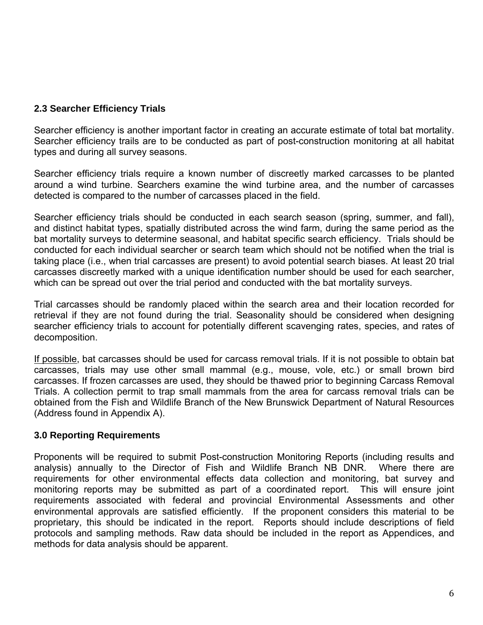## **2.3 Searcher Efficiency Trials**

Searcher efficiency is another important factor in creating an accurate estimate of total bat mortality. Searcher efficiency trails are to be conducted as part of post-construction monitoring at all habitat types and during all survey seasons.

Searcher efficiency trials require a known number of discreetly marked carcasses to be planted around a wind turbine. Searchers examine the wind turbine area, and the number of carcasses detected is compared to the number of carcasses placed in the field.

Searcher efficiency trials should be conducted in each search season (spring, summer, and fall), and distinct habitat types, spatially distributed across the wind farm, during the same period as the bat mortality surveys to determine seasonal, and habitat specific search efficiency. Trials should be conducted for each individual searcher or search team which should not be notified when the trial is taking place (i.e., when trial carcasses are present) to avoid potential search biases. At least 20 trial carcasses discreetly marked with a unique identification number should be used for each searcher, which can be spread out over the trial period and conducted with the bat mortality surveys.

Trial carcasses should be randomly placed within the search area and their location recorded for retrieval if they are not found during the trial. Seasonality should be considered when designing searcher efficiency trials to account for potentially different scavenging rates, species, and rates of decomposition.

If possible, bat carcasses should be used for carcass removal trials. If it is not possible to obtain bat carcasses, trials may use other small mammal (e.g., mouse, vole, etc.) or small brown bird carcasses. If frozen carcasses are used, they should be thawed prior to beginning Carcass Removal Trials. A collection permit to trap small mammals from the area for carcass removal trials can be obtained from the Fish and Wildlife Branch of the New Brunswick Department of Natural Resources (Address found in Appendix A).

## **3.0 Reporting Requirements**

Proponents will be required to submit Post-construction Monitoring Reports (including results and analysis) annually to the Director of Fish and Wildlife Branch NB DNR. Where there are requirements for other environmental effects data collection and monitoring, bat survey and monitoring reports may be submitted as part of a coordinated report. This will ensure joint requirements associated with federal and provincial Environmental Assessments and other environmental approvals are satisfied efficiently. If the proponent considers this material to be proprietary, this should be indicated in the report. Reports should include descriptions of field protocols and sampling methods. Raw data should be included in the report as Appendices, and methods for data analysis should be apparent.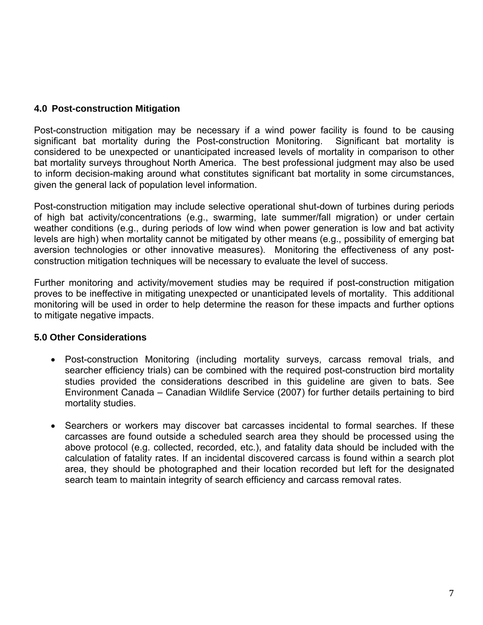## **4.0 Post-construction Mitigation**

Post-construction mitigation may be necessary if a wind power facility is found to be causing significant bat mortality during the Post-construction Monitoring. Significant bat mortality is considered to be unexpected or unanticipated increased levels of mortality in comparison to other bat mortality surveys throughout North America. The best professional judgment may also be used to inform decision-making around what constitutes significant bat mortality in some circumstances, given the general lack of population level information.

Post-construction mitigation may include selective operational shut-down of turbines during periods of high bat activity/concentrations (e.g., swarming, late summer/fall migration) or under certain weather conditions (e.g., during periods of low wind when power generation is low and bat activity levels are high) when mortality cannot be mitigated by other means (e.g., possibility of emerging bat aversion technologies or other innovative measures). Monitoring the effectiveness of any postconstruction mitigation techniques will be necessary to evaluate the level of success.

Further monitoring and activity/movement studies may be required if post-construction mitigation proves to be ineffective in mitigating unexpected or unanticipated levels of mortality. This additional monitoring will be used in order to help determine the reason for these impacts and further options to mitigate negative impacts.

## **5.0 Other Considerations**

- Post-construction Monitoring (including mortality surveys, carcass removal trials, and searcher efficiency trials) can be combined with the required post-construction bird mortality studies provided the considerations described in this guideline are given to bats. See Environment Canada – Canadian Wildlife Service (2007) for further details pertaining to bird mortality studies.
- Searchers or workers may discover bat carcasses incidental to formal searches. If these carcasses are found outside a scheduled search area they should be processed using the above protocol (e.g. collected, recorded, etc.), and fatality data should be included with the calculation of fatality rates. If an incidental discovered carcass is found within a search plot area, they should be photographed and their location recorded but left for the designated search team to maintain integrity of search efficiency and carcass removal rates.